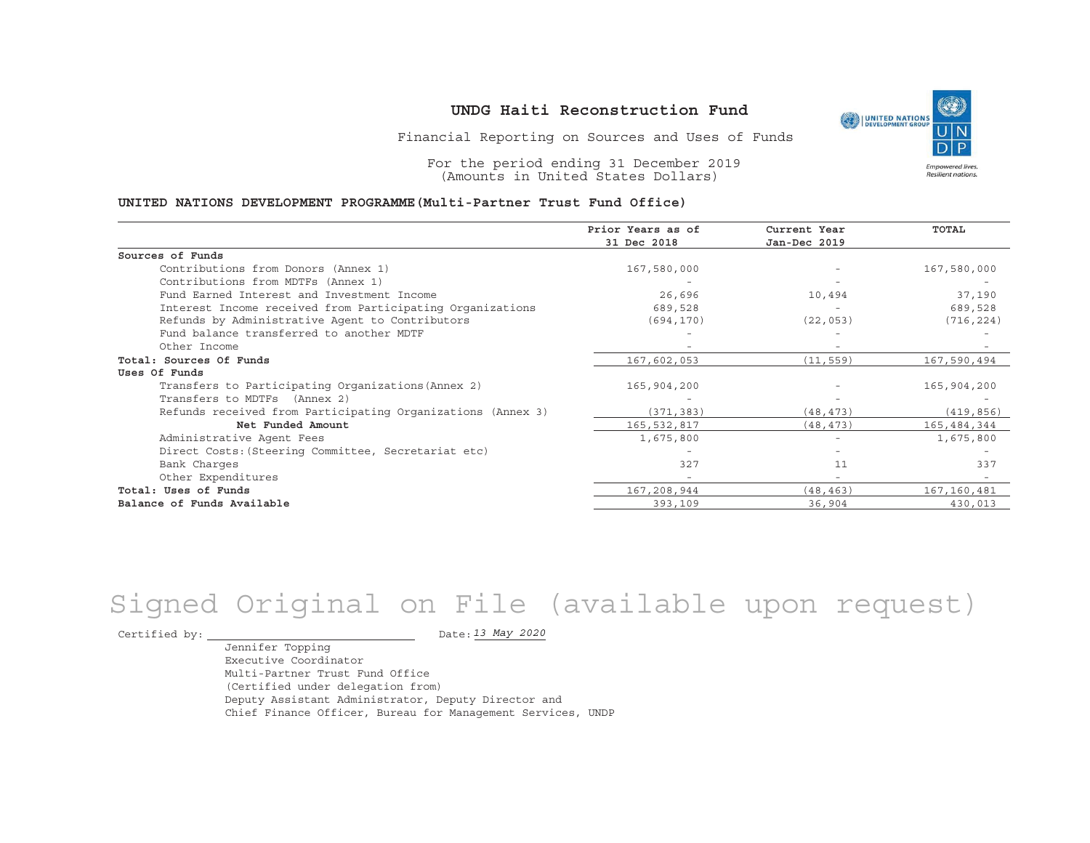Financial Reporting on Sources and Uses of Funds

For the period ending 31 December 2019 (Amounts in United States Dollars)

#### **UNITED NATIONS DEVELOPMENT PROGRAMME(Multi-Partner Trust Fund Office)**

|                                                             | Prior Years as of | Current Year             | TOTAL       |
|-------------------------------------------------------------|-------------------|--------------------------|-------------|
|                                                             | 31 Dec 2018       | Jan-Dec 2019             |             |
| Sources of Funds                                            |                   |                          |             |
| Contributions from Donors (Annex 1)                         | 167,580,000       |                          | 167,580,000 |
| Contributions from MDTFs (Annex 1)                          |                   |                          |             |
| Fund Earned Interest and Investment Income                  | 26,696            | 10,494                   | 37,190      |
| Interest Income received from Participating Organizations   | 689,528           |                          | 689,528     |
| Refunds by Administrative Agent to Contributors             | (694, 170)        | (22, 053)                | (716, 224)  |
| Fund balance transferred to another MDTF                    |                   |                          |             |
| Other Income                                                |                   |                          |             |
| Total: Sources Of Funds                                     | 167,602,053       | (11, 559)                | 167,590,494 |
| Uses Of Funds                                               |                   |                          |             |
| Transfers to Participating Organizations (Annex 2)          | 165,904,200       |                          | 165,904,200 |
| Transfers to MDTFs (Annex 2)                                |                   |                          |             |
| Refunds received from Participating Organizations (Annex 3) | (371, 383)        | (48, 473)                | (419, 856)  |
| Net Funded Amount                                           | 165,532,817       | (48, 473)                | 165,484,344 |
| Administrative Agent Fees                                   | 1,675,800         | $\overline{\phantom{a}}$ | 1,675,800   |
| Direct Costs: (Steering Committee, Secretariat etc)         |                   |                          |             |
| Bank Charges                                                | 327               | 11                       | 337         |
| Other Expenditures                                          |                   | $\overline{\phantom{a}}$ |             |
| Total: Uses of Funds                                        | 167,208,944       | (48, 463)                | 167,160,481 |
| Balance of Funds Available                                  | 393,109           | 36,904                   | 430,013     |

# Signed Original on File (available upon request)

Certified by:  $\overline{\phantom{a}}$ 

*13 May 2020*

Jennifer Topping Executive CoordinatorMulti-Partner Trust Fund Office(Certified under delegation from) Deputy Assistant Administrator, Deputy Director and Chief Finance Officer, Bureau for Management Services, UNDP

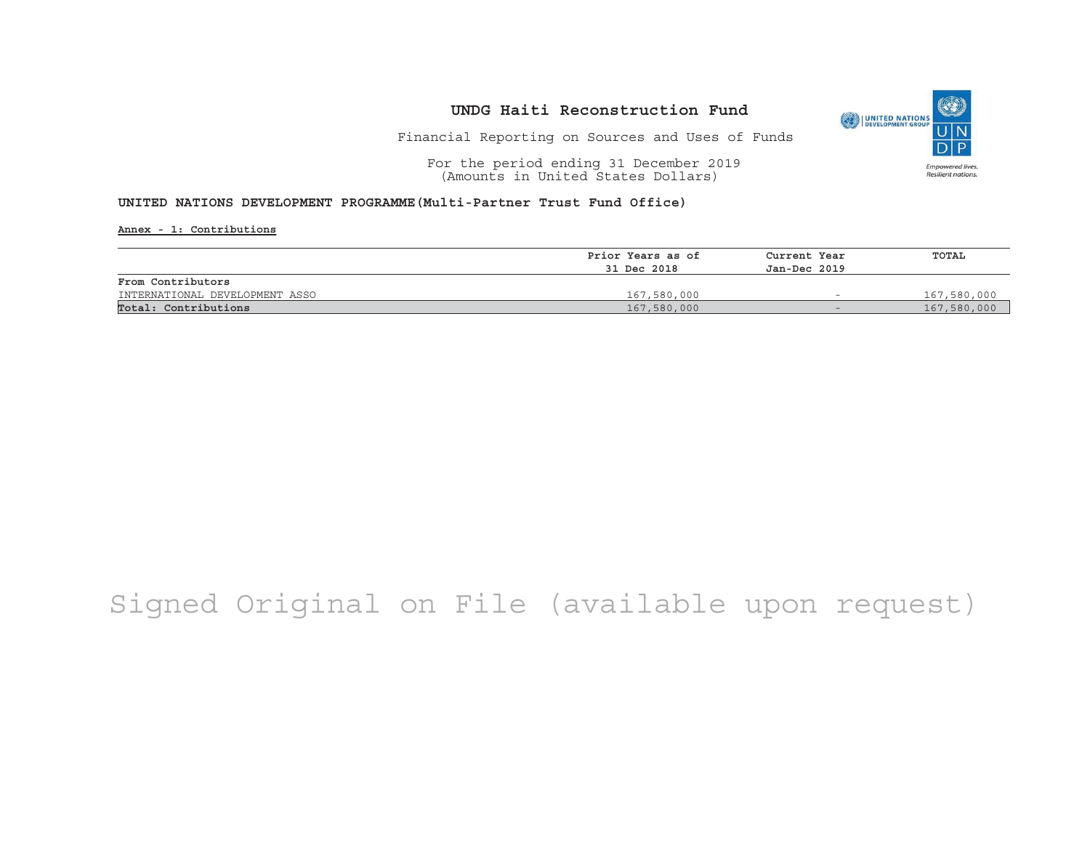

Financial Reporting on Sources and Uses of Funds

For the period ending 31 December 2019 (Amounts in United States Dollars)

#### **UNITED NATIONS DEVELOPMENT PROGRAMME(Multi-Partner Trust Fund Office)**

**Annex - 1: Contributions**

|                                | Prior Years as of | Current Year             | TOTAL       |
|--------------------------------|-------------------|--------------------------|-------------|
|                                | 31 Dec 2018       | Jan-Dec 2019             |             |
| From Contributors              |                   |                          |             |
| INTERNATIONAL DEVELOPMENT ASSO | 167,580,000       | $\overline{\phantom{a}}$ | 167,580,000 |
| Total: Contributions           | 167,580,000       | $-$                      | 167,580,000 |

## Signed Original on File (available upon request)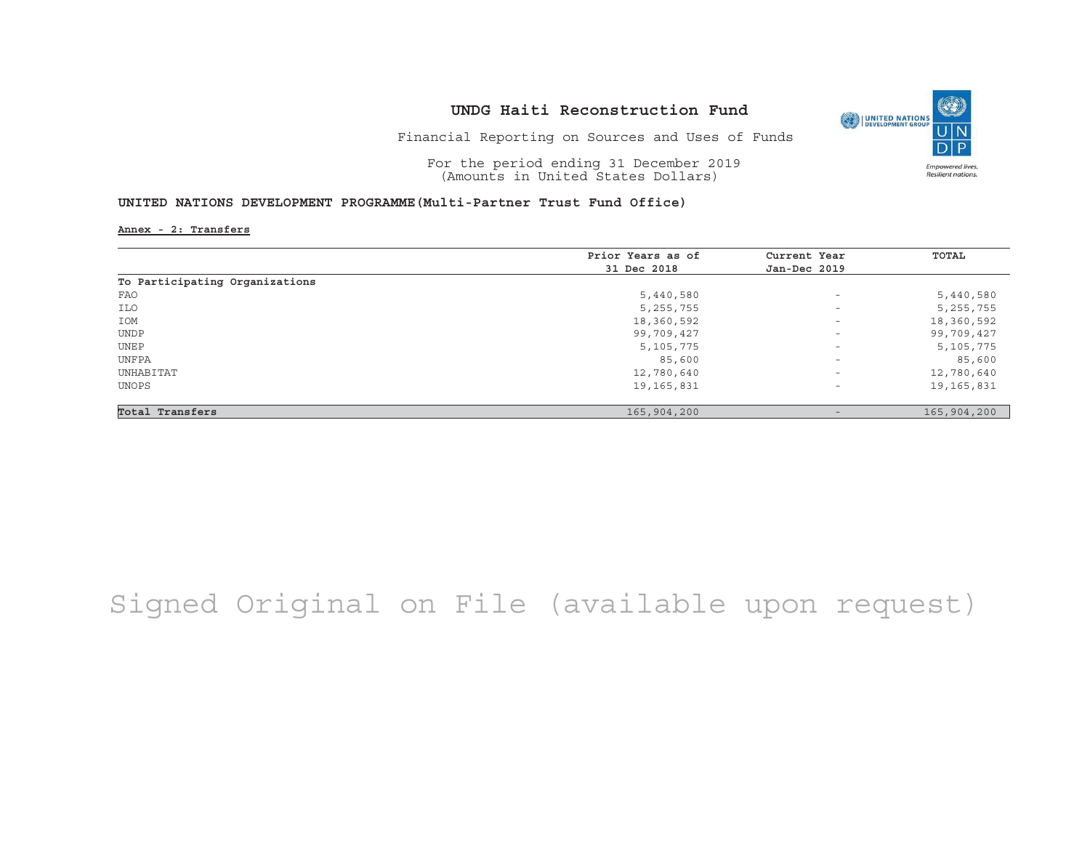

Financial Reporting on Sources and Uses of Funds

For the period ending 31 December 2019 (Amounts in United States Dollars)

#### **UNITED NATIONS DEVELOPMENT PROGRAMME(Multi-Partner Trust Fund Office)**

**Annex - 2: Transfers**

|                                | Prior Years as of | Current Year             | TOTAL       |
|--------------------------------|-------------------|--------------------------|-------------|
|                                | 31 Dec 2018       | Jan-Dec 2019             |             |
| To Participating Organizations |                   |                          |             |
| FAO                            | 5,440,580         | $\overline{\phantom{a}}$ | 5,440,580   |
| ILO                            | 5, 255, 755       | $\overline{\phantom{a}}$ | 5, 255, 755 |
| IOM                            | 18,360,592        | $\overline{\phantom{0}}$ | 18,360,592  |
| <b>UNDP</b>                    | 99,709,427        | $\overline{\phantom{0}}$ | 99,709,427  |
| UNEP                           | 5,105,775         | $\qquad \qquad -$        | 5,105,775   |
| UNFPA                          | 85,600            | $\qquad \qquad -$        | 85,600      |
| UNHABITAT                      | 12,780,640        | $\overline{\phantom{a}}$ | 12,780,640  |
| UNOPS                          | 19,165,831        | $\overline{\phantom{a}}$ | 19,165,831  |
| Total Transfers                | 165,904,200       |                          | 165,904,200 |

# Signed Original on File (available upon request)